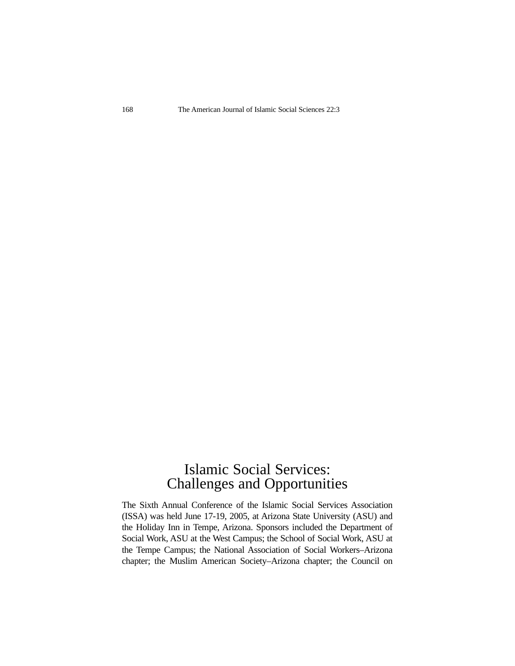## Islamic Social Services: Challenges and Opportunities

The Sixth Annual Conference of the Islamic Social Services Association (ISSA) was held June 17-19, 2005, at Arizona State University (ASU) and the Holiday Inn in Tempe, Arizona. Sponsors included the Department of Social Work, ASU at the West Campus; the School of Social Work, ASU at the Tempe Campus; the National Association of Social Workers–Arizona chapter; the Muslim American Society–Arizona chapter; the Council on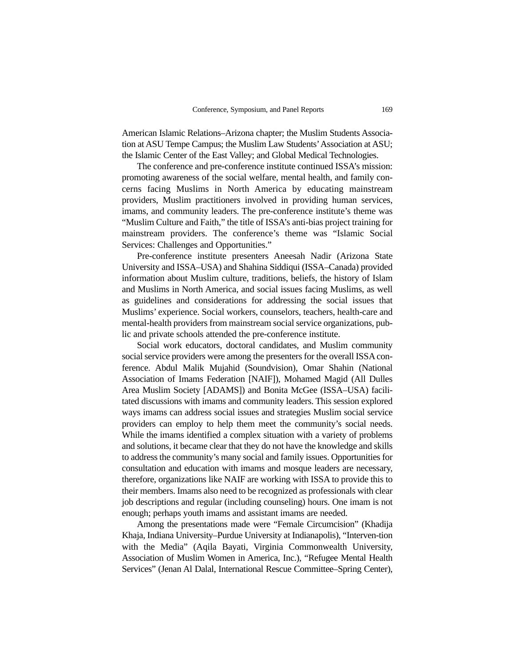American Islamic Relations–Arizona chapter; the Muslim Students Association at ASU Tempe Campus; the Muslim Law Students'Association at ASU; the Islamic Center of the East Valley; and Global Medical Technologies.

The conference and pre-conference institute continued ISSA's mission: promoting awareness of the social welfare, mental health, and family concerns facing Muslims in North America by educating mainstream providers, Muslim practitioners involved in providing human services, imams, and community leaders. The pre-conference institute's theme was "Muslim Culture and Faith," the title of ISSA's anti-bias project training for mainstream providers. The conference's theme was "Islamic Social Services: Challenges and Opportunities."

Pre-conference institute presenters Aneesah Nadir (Arizona State University and ISSA–USA) and Shahina Siddiqui (ISSA–Canada) provided information about Muslim culture, traditions, beliefs, the history of Islam and Muslims in North America, and social issues facing Muslims, as well as guidelines and considerations for addressing the social issues that Muslims' experience. Social workers, counselors, teachers, health-care and mental-health providers from mainstream social service organizations, public and private schools attended the pre-conference institute.

Social work educators, doctoral candidates, and Muslim community social service providers were among the presenters for the overall ISSA conference. Abdul Malik Mujahid (Soundvision), Omar Shahin (National Association of Imams Federation [NAIF]), Mohamed Magid (All Dulles Area Muslim Society [ADAMS]) and Bonita McGee (ISSA–USA) facilitated discussions with imams and community leaders. This session explored ways imams can address social issues and strategies Muslim social service providers can employ to help them meet the community's social needs. While the imams identified a complex situation with a variety of problems and solutions, it became clear that they do not have the knowledge and skills to address the community's many social and family issues. Opportunities for consultation and education with imams and mosque leaders are necessary, therefore, organizations like NAIF are working with ISSA to provide this to their members. Imams also need to be recognized as professionals with clear job descriptions and regular (including counseling) hours. One imam is not enough; perhaps youth imams and assistant imams are needed.

Among the presentations made were "Female Circumcision" (Khadija Khaja, Indiana University–Purdue University at Indianapolis), "Interven-tion with the Media" (Aqila Bayati, Virginia Commonwealth University, Association of Muslim Women in America, Inc.), "Refugee Mental Health Services" (Jenan Al Dalal, International Rescue Committee–Spring Center),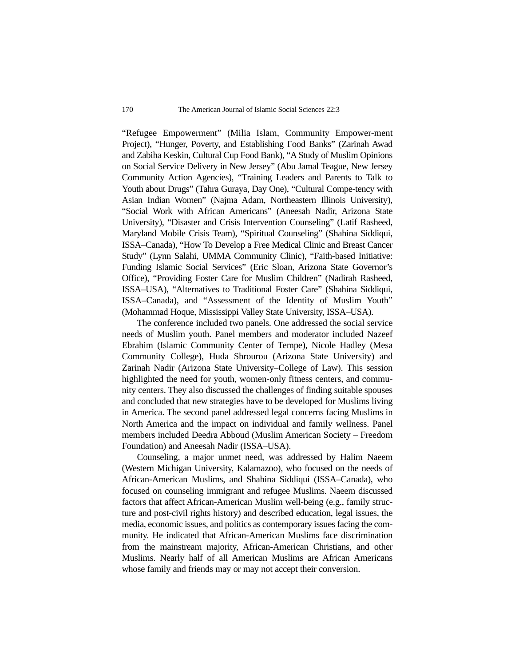"Refugee Empowerment" (Milia Islam, Community Empower-ment Project), "Hunger, Poverty, and Establishing Food Banks" (Zarinah Awad and Zabiha Keskin, Cultural Cup Food Bank), "A Study of Muslim Opinions on Social Service Delivery in New Jersey" (Abu Jamal Teague, New Jersey Community Action Agencies), "Training Leaders and Parents to Talk to Youth about Drugs" (Tahra Guraya, Day One), "Cultural Compe-tency with Asian Indian Women" (Najma Adam, Northeastern Illinois University), "Social Work with African Americans" (Aneesah Nadir, Arizona State University), "Disaster and Crisis Intervention Counseling" (Latif Rasheed, Maryland Mobile Crisis Team), "Spiritual Counseling" (Shahina Siddiqui, ISSA–Canada), "How To Develop a Free Medical Clinic and Breast Cancer Study" (Lynn Salahi, UMMA Community Clinic), "Faith-based Initiative: Funding Islamic Social Services" (Eric Sloan, Arizona State Governor's Office), "Providing Foster Care for Muslim Children" (Nadirah Rasheed, ISSA–USA), "Alternatives to Traditional Foster Care" (Shahina Siddiqui, ISSA–Canada), and "Assessment of the Identity of Muslim Youth" (Mohammad Hoque, Mississippi Valley State University, ISSA–USA).

The conference included two panels. One addressed the social service needs of Muslim youth. Panel members and moderator included Nazeef Ebrahim (Islamic Community Center of Tempe), Nicole Hadley (Mesa Community College), Huda Shrourou (Arizona State University) and Zarinah Nadir (Arizona State University–College of Law). This session highlighted the need for youth, women-only fitness centers, and community centers. They also discussed the challenges of finding suitable spouses and concluded that new strategies have to be developed for Muslims living in America. The second panel addressed legal concerns facing Muslims in North America and the impact on individual and family wellness. Panel members included Deedra Abboud (Muslim American Society – Freedom Foundation) and Aneesah Nadir (ISSA–USA).

Counseling, a major unmet need, was addressed by Halim Naeem (Western Michigan University, Kalamazoo), who focused on the needs of African-American Muslims, and Shahina Siddiqui (ISSA–Canada), who focused on counseling immigrant and refugee Muslims. Naeem discussed factors that affect African-American Muslim well-being (e.g., family structure and post-civil rights history) and described education, legal issues, the media, economic issues, and politics as contemporary issues facing the community. He indicated that African-American Muslims face discrimination from the mainstream majority, African-American Christians, and other Muslims. Nearly half of all American Muslims are African Americans whose family and friends may or may not accept their conversion.